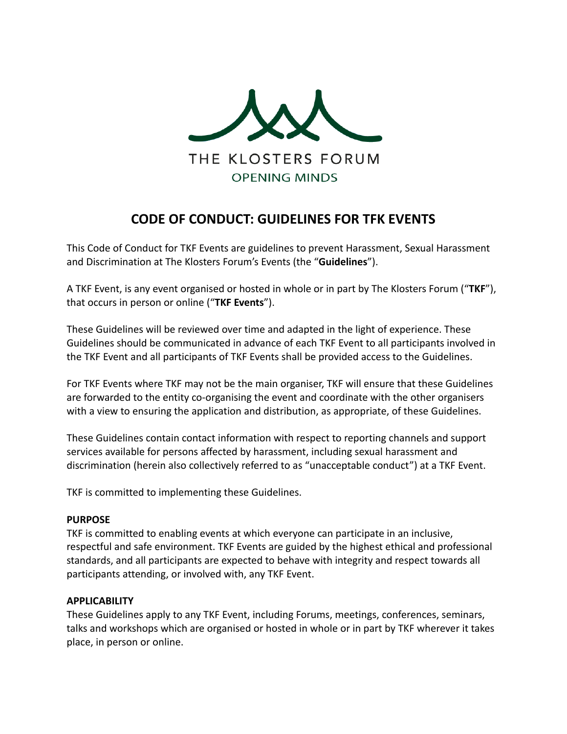

# **CODE OF CONDUCT: GUIDELINES FOR TFK EVENTS**

This Code of Conduct for TKF Events are guidelines to prevent Harassment, Sexual Harassment and Discrimination at The Klosters Forum's Events (the "**Guidelines**").

A TKF Event, is any event organised or hosted in whole or in part by The Klosters Forum ("**TKF**"), that occurs in person or online ("**TKF Events**").

These Guidelines will be reviewed over time and adapted in the light of experience. These Guidelines should be communicated in advance of each TKF Event to all participants involved in the TKF Event and all participants of TKF Events shall be provided access to the Guidelines.

For TKF Events where TKF may not be the main organiser, TKF will ensure that these Guidelines are forwarded to the entity co-organising the event and coordinate with the other organisers with a view to ensuring the application and distribution, as appropriate, of these Guidelines.

These Guidelines contain contact information with respect to reporting channels and support services available for persons affected by harassment, including sexual harassment and discrimination (herein also collectively referred to as "unacceptable conduct") at a TKF Event.

TKF is committed to implementing these Guidelines.

### **PURPOSE**

TKF is committed to enabling events at which everyone can participate in an inclusive, respectful and safe environment. TKF Events are guided by the highest ethical and professional standards, and all participants are expected to behave with integrity and respect towards all participants attending, or involved with, any TKF Event.

### **APPLICABILITY**

These Guidelines apply to any TKF Event, including Forums, meetings, conferences, seminars, talks and workshops which are organised or hosted in whole or in part by TKF wherever it takes place, in person or online.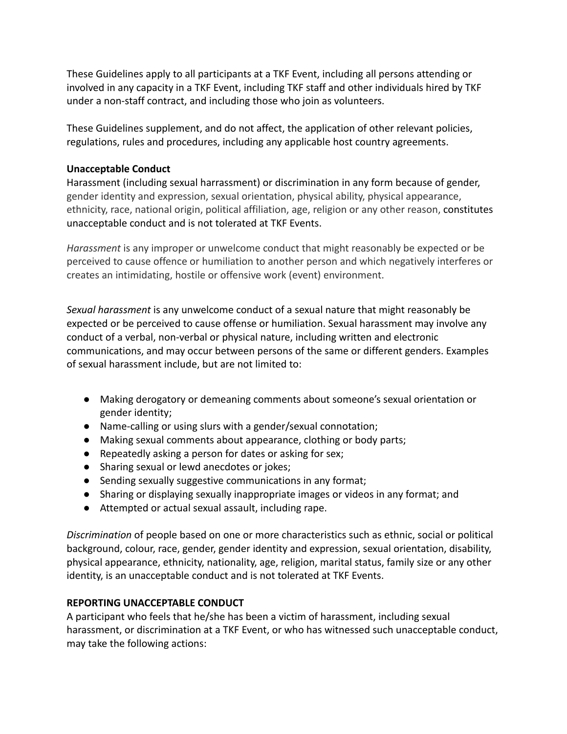These Guidelines apply to all participants at a TKF Event, including all persons attending or involved in any capacity in a TKF Event, including TKF staff and other individuals hired by TKF under a non-staff contract, and including those who join as volunteers.

These Guidelines supplement, and do not affect, the application of other relevant policies, regulations, rules and procedures, including any applicable host country agreements.

# **Unacceptable Conduct**

Harassment (including sexual harrassment) or discrimination in any form because of gender, gender identity and expression, sexual orientation, physical ability, physical appearance, ethnicity, race, national origin, political affiliation, age, religion or any other reason, constitutes unacceptable conduct and is not tolerated at TKF Events.

*Harassment* is any improper or unwelcome conduct that might reasonably be expected or be perceived to cause offence or humiliation to another person and which negatively interferes or creates an intimidating, hostile or offensive work (event) environment.

*Sexual harassment* is any unwelcome conduct of a sexual nature that might reasonably be expected or be perceived to cause offense or humiliation. Sexual harassment may involve any conduct of a verbal, non-verbal or physical nature, including written and electronic communications, and may occur between persons of the same or different genders. Examples of sexual harassment include, but are not limited to:

- Making derogatory or demeaning comments about someone's sexual orientation or gender identity;
- Name-calling or using slurs with a gender/sexual connotation;
- Making sexual comments about appearance, clothing or body parts;
- Repeatedly asking a person for dates or asking for sex;
- Sharing sexual or lewd anecdotes or jokes;
- Sending sexually suggestive communications in any format;
- Sharing or displaying sexually inappropriate images or videos in any format; and
- Attempted or actual sexual assault, including rape.

*Discrimination* of people based on one or more characteristics such as ethnic, social or political background, colour, race, gender, gender identity and expression, sexual orientation, disability, physical appearance, ethnicity, nationality, age, religion, marital status, family size or any other identity, is an unacceptable conduct and is not tolerated at TKF Events.

# **REPORTING UNACCEPTABLE CONDUCT**

A participant who feels that he/she has been a victim of harassment, including sexual harassment, or discrimination at a TKF Event, or who has witnessed such unacceptable conduct, may take the following actions: